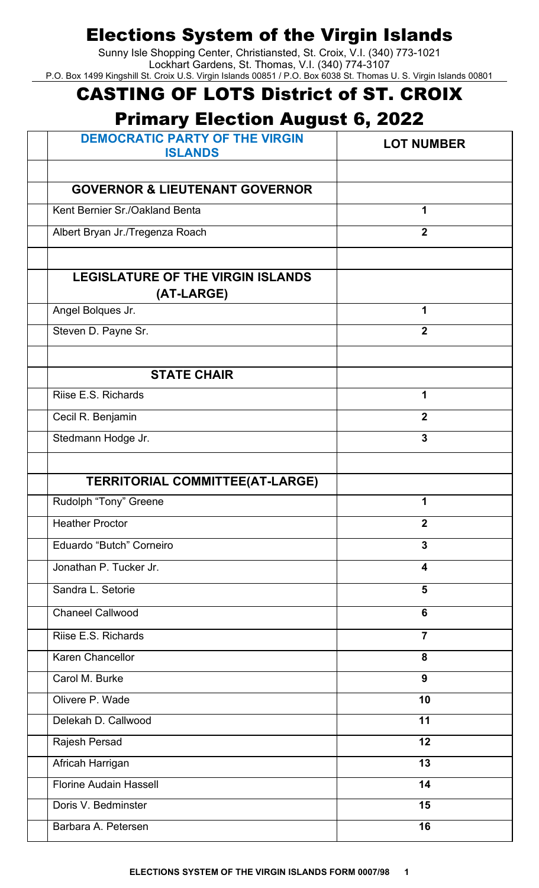Sunny Isle Shopping Center, Christiansted, St. Croix, V.I. (340) 773-1021 Lockhart Gardens, St. Thomas, V.I. (340) 774-3107 P.O. Box 1499 Kingshill St. Croix U.S. Virgin Islands 00851 / P.O. Box 6038 St. Thomas U. S. Virgin Islands 00801

## CASTING OF LOTS District of ST. CROIX

## Primary Election August 6, 2022

| <b>DEMOCRATIC PARTY OF THE VIRGIN</b><br><b>ISLANDS</b> | <b>LOT NUMBER</b>       |
|---------------------------------------------------------|-------------------------|
|                                                         |                         |
| <b>GOVERNOR &amp; LIEUTENANT GOVERNOR</b>               |                         |
| Kent Bernier Sr./Oakland Benta                          | 1                       |
| Albert Bryan Jr./Tregenza Roach                         | $\mathbf{2}$            |
|                                                         |                         |
| <b>LEGISLATURE OF THE VIRGIN ISLANDS</b>                |                         |
| (AT-LARGE)                                              |                         |
| Angel Bolques Jr.                                       | 1                       |
| Steven D. Payne Sr.                                     | $\overline{2}$          |
|                                                         |                         |
| <b>STATE CHAIR</b>                                      |                         |
| Riise E.S. Richards                                     | 1                       |
| Cecil R. Benjamin                                       | $\overline{2}$          |
| Stedmann Hodge Jr.                                      | $\mathbf{3}$            |
|                                                         |                         |
| <b>TERRITORIAL COMMITTEE(AT-LARGE)</b>                  |                         |
| Rudolph "Tony" Greene                                   | 1                       |
| <b>Heather Proctor</b>                                  | $\mathbf{2}$            |
| Eduardo "Butch" Corneiro                                | $\overline{3}$          |
| Jonathan P. Tucker Jr.                                  | $\overline{\mathbf{4}}$ |
| Sandra L. Setorie                                       | 5                       |
| <b>Chaneel Callwood</b>                                 | 6                       |
| Riise E.S. Richards                                     | $\overline{7}$          |
| <b>Karen Chancellor</b>                                 | 8                       |
| Carol M. Burke                                          | 9                       |
| Olivere P. Wade                                         | 10                      |
| Delekah D. Callwood                                     | 11                      |
| Rajesh Persad                                           | 12                      |
| Africah Harrigan                                        | 13                      |
| <b>Florine Audain Hassell</b>                           | 14                      |
| Doris V. Bedminster                                     | 15                      |
| Barbara A. Petersen                                     | 16                      |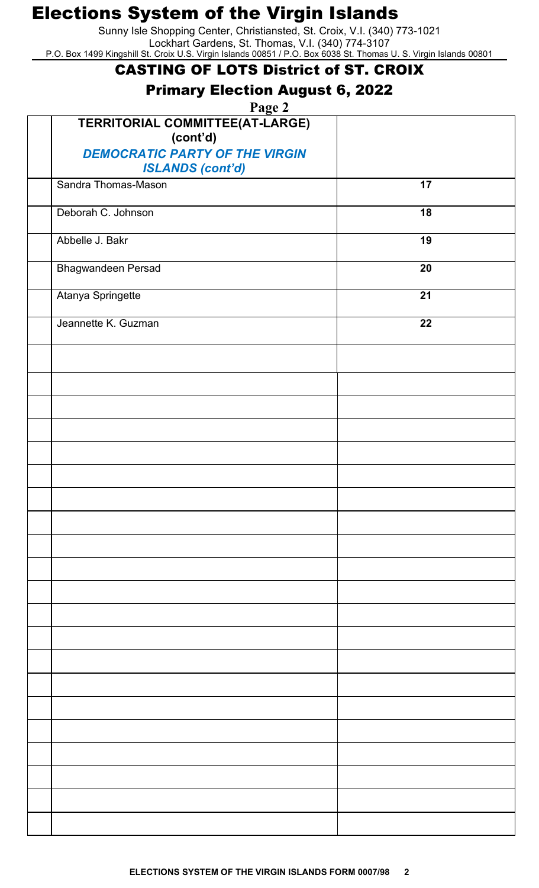Sunny Isle Shopping Center, Christiansted, St. Croix, V.I. (340) 773-1021 Lockhart Gardens, St. Thomas, V.I. (340) 774-3107 P.O. Box 1499 Kingshill St. Croix U.S. Virgin Islands 00851 / P.O. Box 6038 St. Thomas U. S. Virgin Islands 00801

#### CASTING OF LOTS District of ST. CROIX

### Primary Election August 6, 2022

**Page 2**

| $\frac{1}{2}$ age $\frac{1}{2}$<br>TERRITORIAL COMMITTEE(AT-LARGE)<br>(cont'd) |    |
|--------------------------------------------------------------------------------|----|
| <b>DEMOCRATIC PARTY OF THE VIRGIN</b><br><b>ISLANDS (cont'd)</b>               |    |
| Sandra Thomas-Mason                                                            | 17 |
| Deborah C. Johnson                                                             | 18 |
| Abbelle J. Bakr                                                                | 19 |
| <b>Bhagwandeen Persad</b>                                                      | 20 |
| Atanya Springette                                                              | 21 |
| Jeannette K. Guzman                                                            | 22 |
|                                                                                |    |
|                                                                                |    |
|                                                                                |    |
|                                                                                |    |
|                                                                                |    |
|                                                                                |    |
|                                                                                |    |
|                                                                                |    |
|                                                                                |    |
|                                                                                |    |
|                                                                                |    |
|                                                                                |    |
|                                                                                |    |
|                                                                                |    |
|                                                                                |    |
|                                                                                |    |
|                                                                                |    |
|                                                                                |    |
|                                                                                |    |
|                                                                                |    |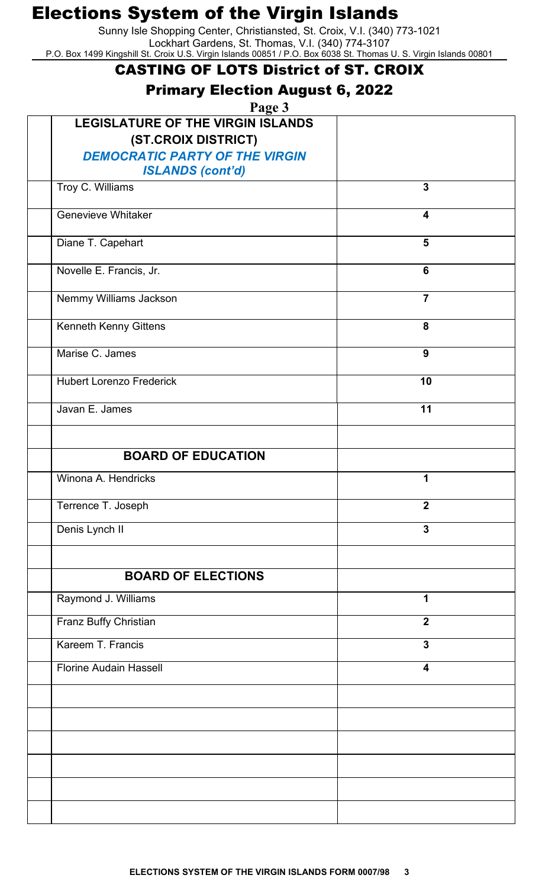Sunny Isle Shopping Center, Christiansted, St. Croix, V.I. (340) 773-1021 Lockhart Gardens, St. Thomas, V.I. (340) 774-3107 P.O. Box 1499 Kingshill St. Croix U.S. Virgin Islands 00851 / P.O. Box 6038 St. Thomas U. S. Virgin Islands 00801

#### CASTING OF LOTS District of ST. CROIX

### Primary Election August 6, 2022

**Page 3**

| r age o<br><b>LEGISLATURE OF THE VIRGIN ISLANDS</b><br>(ST.CROIX DISTRICT)<br><b>DEMOCRATIC PARTY OF THE VIRGIN</b> |                         |
|---------------------------------------------------------------------------------------------------------------------|-------------------------|
| <b>ISLANDS (cont'd)</b><br>Troy C. Williams                                                                         | $\overline{3}$          |
|                                                                                                                     |                         |
| Genevieve Whitaker                                                                                                  | 4                       |
| Diane T. Capehart                                                                                                   | $5\phantom{1}$          |
| Novelle E. Francis, Jr.                                                                                             | $6\phantom{a}$          |
| Nemmy Williams Jackson                                                                                              | $\overline{7}$          |
| Kenneth Kenny Gittens                                                                                               | 8                       |
| Marise C. James                                                                                                     | $\boldsymbol{9}$        |
| <b>Hubert Lorenzo Frederick</b>                                                                                     | 10                      |
| Javan E. James                                                                                                      | 11                      |
|                                                                                                                     |                         |
| <b>BOARD OF EDUCATION</b>                                                                                           |                         |
| Winona A. Hendricks                                                                                                 | 1                       |
| Terrence T. Joseph                                                                                                  | $\mathbf{2}$            |
| Denis Lynch II                                                                                                      | $\overline{3}$          |
|                                                                                                                     |                         |
| <b>BOARD OF ELECTIONS</b>                                                                                           |                         |
| Raymond J. Williams                                                                                                 | $\mathbf 1$             |
| Franz Buffy Christian                                                                                               | $\overline{2}$          |
| Kareem T. Francis                                                                                                   | $\overline{3}$          |
| <b>Florine Audain Hassell</b>                                                                                       | $\overline{\mathbf{4}}$ |
|                                                                                                                     |                         |
|                                                                                                                     |                         |
|                                                                                                                     |                         |
|                                                                                                                     |                         |
|                                                                                                                     |                         |
|                                                                                                                     |                         |